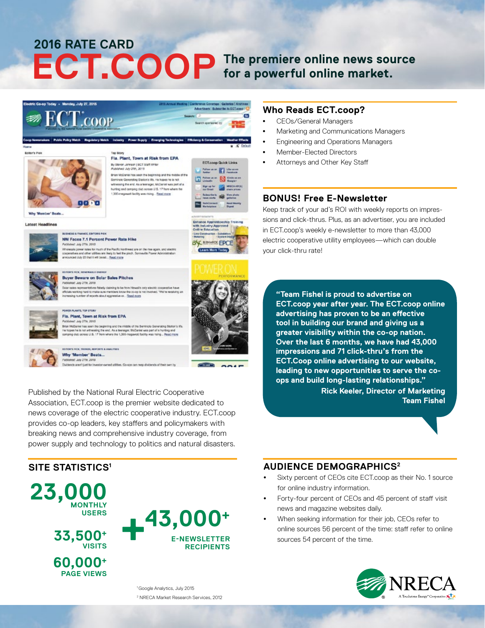# **ECT.COOP The premiere online news source for a powerful online market. 2016 RATE CARD**



## Why 'Member' Beats...

Cividends aren't just for investor-owned utilities. Co-scs can rang dividends of their own by

Published by the National Rural Electric Cooperative Association, ECT.coop is the premier website dedicated to news coverage of the electric cooperative industry. ECT.coop provides co-op leaders, key staffers and policymakers with breaking news and comprehensive industry coverage, from power supply and technology to politics and natural disasters.

### **SITE STATISTICS1**

**23,000 MONTHLY USERS 33,500+ VISITS 60,000+**

**PAGE VIEWS**



**CONTRACTOR** 

 $\sim$ 

<sup>1</sup> Google Analytics, July 2015 2 NRECA Market Research Services, 2012

#### **Who Reads ECT.coop?**

- CEOs/General Managers
- Marketing and Communications Managers
- Engineering and Operations Managers
- Member-Elected Directors
- Attorneys and Other Key Staff

#### **BONUS! Free E-Newsletter**

Keep track of your ad's ROI with weekly reports on impressions and click-thrus. Plus, as an advertiser, you are included in ECT.coop's weekly e-newsletter to more than 43,000 electric cooperative utility employees—which can double your click-thru rate!

**"Team Fishel is proud to advertise on ECT.coop year after year. The ECT.coop online advertising has proven to be an effective tool in building our brand and giving us a greater visibility within the co-op nation. Over the last 6 months, we have had 43,000 impressions and 71 click-thru's from the ECT.Coop online advertising to our website, leading to new opportunities to serve the coops and build long-lasting relationships."**

**Rick Keeler, Director of Marketing Team Fishel**

## **AUDIENCE DEMOGRAPHICS2**

- Sixty percent of CEOs cite ECT.coop as their No. 1 source for online industry information.
- Forty-four percent of CEOs and 45 percent of staff visit news and magazine websites daily.
- When seeking information for their job, CEOs refer to online sources 56 percent of the time: staff refer to online sources 54 percent of the time.